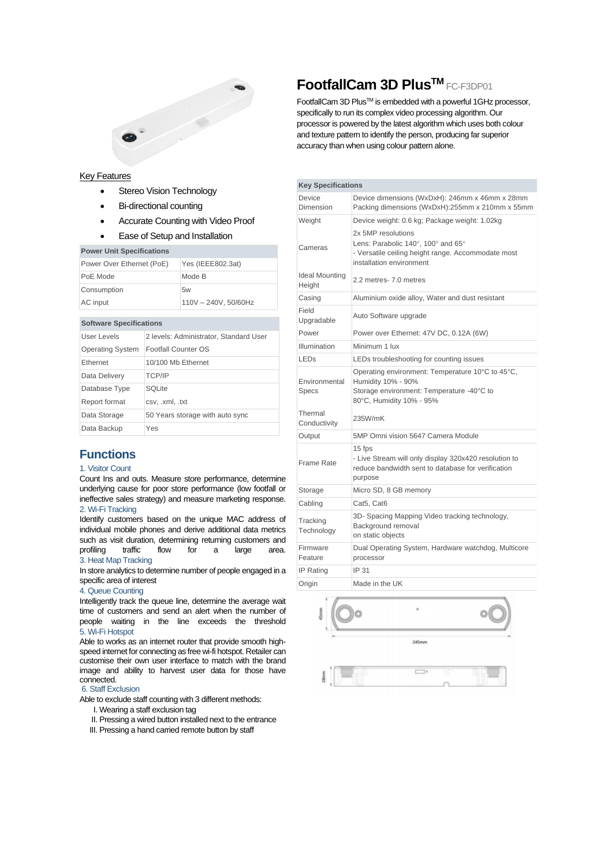

# **FootfallCam 3D PlusTM** FC-F3DP01

FootfallCam 3D Plus™ is embedded with a powerful 1GHz processor, specifically to run its complex video processing algorithm. Our processor is powered by the latest algorithm which uses both colour and texture pattern to identify the person, producing far superior accuracy than when using colour pattern alone.

### Key Features

- Stereo Vision Technology
- **Bi-directional counting**
- Accurate Counting with Video Proof
- Ease of Setup and Installation

| <b>Power Unit Specifications</b> |                      |  |  |  |
|----------------------------------|----------------------|--|--|--|
| Power Over Ethernet (PoE)        | Yes (IEEE802.3at)    |  |  |  |
| PoE Mode                         | Mode B               |  |  |  |
| Consumption                      | 5w                   |  |  |  |
| AC input                         | 110V - 240V, 50/60Hz |  |  |  |

### **Software Specifications**

| User Levels             | 2 levels: Administrator, Standard User |
|-------------------------|----------------------------------------|
| <b>Operating System</b> | Footfall Counter OS                    |
| Ethernet                | 10/100 Mb Ethernet                     |
| Data Delivery           | <b>TCP/IP</b>                          |
| Database Type           | <b>SQLite</b>                          |
| Report format           | csv, .xml, .txt                        |
| Data Storage            | 50 Years storage with auto sync        |
| Data Backup             | Yes                                    |
|                         |                                        |

## **Functions**

### 1. Visitor Count

Count Ins and outs. Measure store performance, determine underlying cause for poor store performance (low footfall or ineffective sales strategy) and measure marketing response. 2. Wi-Fi Tracking

Identify customers based on the unique MAC address of individual mobile phones and derive additional data metrics such as visit duration, determining returning customers and profiling traffic flow for a large area. 3. Heat Map Tracking

In store analytics to determine number of people engaged in a specific area of interest

#### 4. Queue Counting

Intelligently track the queue line, determine the average wait time of customers and send an alert when the number of people waiting in the line exceeds the threshold 5. Wi-Fi Hotspot

Able to works as an internet router that provide smooth highspeed internet for connecting as free wi-fi hotspot. Retailer can customise their own user interface to match with the brand image and ability to harvest user data for those have connected.

### 6. Staff Exclusion

Able to exclude staff counting with 3 different methods:

- I. Wearing a staff exclusion tag
- II. Pressing a wired button installed next to the entrance
- III. Pressing a hand carried remote button by staff

| Device<br>Dimension<br>Upgradable                                                                                    | Device dimensions (WxDxH): 246mm x 46mm x 28mm<br>Packing dimensions (WxDxH):255mm x 210mm x 55mm<br>Device weight: 0.6 kg; Package weight: 1.02kg<br>2x 5MP resolutions<br>Lens: Parabolic 140°, 100° and 65°<br>- Versatile ceiling height range. Accommodate most<br>installation environment<br>2.2 metres- 7.0 metres<br>Aluminium oxide alloy, Water and dust resistant<br>Auto Software upgrade<br>Power over Ethernet: 47V DC, 0.12A (6W)<br>Minimum 1 lux<br>LEDs troubleshooting for counting issues |  |  |
|----------------------------------------------------------------------------------------------------------------------|----------------------------------------------------------------------------------------------------------------------------------------------------------------------------------------------------------------------------------------------------------------------------------------------------------------------------------------------------------------------------------------------------------------------------------------------------------------------------------------------------------------|--|--|
| Weight<br>Cameras<br><b>Ideal Mounting</b><br>Height<br>Casing<br>Field<br>Power<br>Illumination<br>LED <sub>S</sub> |                                                                                                                                                                                                                                                                                                                                                                                                                                                                                                                |  |  |
|                                                                                                                      |                                                                                                                                                                                                                                                                                                                                                                                                                                                                                                                |  |  |
|                                                                                                                      |                                                                                                                                                                                                                                                                                                                                                                                                                                                                                                                |  |  |
|                                                                                                                      |                                                                                                                                                                                                                                                                                                                                                                                                                                                                                                                |  |  |
|                                                                                                                      |                                                                                                                                                                                                                                                                                                                                                                                                                                                                                                                |  |  |
|                                                                                                                      |                                                                                                                                                                                                                                                                                                                                                                                                                                                                                                                |  |  |
|                                                                                                                      |                                                                                                                                                                                                                                                                                                                                                                                                                                                                                                                |  |  |
|                                                                                                                      |                                                                                                                                                                                                                                                                                                                                                                                                                                                                                                                |  |  |
|                                                                                                                      |                                                                                                                                                                                                                                                                                                                                                                                                                                                                                                                |  |  |
| Environmental<br><b>Specs</b>                                                                                        | Operating environment: Temperature 10°C to 45°C,<br>Humidity 10% - 90%<br>Storage environment: Temperature -40°C to<br>80°C, Humidity 10% - 95%                                                                                                                                                                                                                                                                                                                                                                |  |  |
| Thermal<br>Conductivity                                                                                              | 235W/mK                                                                                                                                                                                                                                                                                                                                                                                                                                                                                                        |  |  |
| Output                                                                                                               | 5MP Omni vision 5647 Camera Module                                                                                                                                                                                                                                                                                                                                                                                                                                                                             |  |  |
| <b>Frame Rate</b>                                                                                                    | 15 fps<br>- Live Stream will only display 320x420 resolution to<br>reduce bandwidth sent to database for verification<br>purpose                                                                                                                                                                                                                                                                                                                                                                               |  |  |
| Storage                                                                                                              | Micro SD, 8 GB memory                                                                                                                                                                                                                                                                                                                                                                                                                                                                                          |  |  |
| Cabling                                                                                                              | Cat5, Cat6                                                                                                                                                                                                                                                                                                                                                                                                                                                                                                     |  |  |
| Tracking<br>Technology                                                                                               | 3D- Spacing Mapping Video tracking technology,<br>Background removal<br>on static objects                                                                                                                                                                                                                                                                                                                                                                                                                      |  |  |
| Firmware<br>Feature                                                                                                  | Dual Operating System, Hardware watchdog, Multicore<br>processor                                                                                                                                                                                                                                                                                                                                                                                                                                               |  |  |
| <b>IP Rating</b>                                                                                                     | IP 31                                                                                                                                                                                                                                                                                                                                                                                                                                                                                                          |  |  |
| Origin                                                                                                               | Made in the UK                                                                                                                                                                                                                                                                                                                                                                                                                                                                                                 |  |  |

 $\Box$ 

245mm